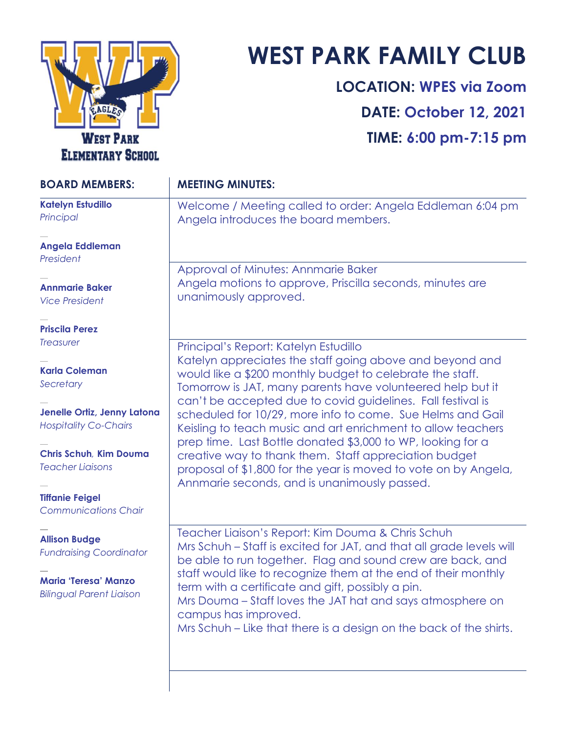

## **WEST PARK FAMILY CLUB**

**LOCATION: WPES via Zoom DATE: October 12, 2021 TIME: 6:00 pm-7:15 pm**

| <b>BOARD MEMBERS:</b>                                          | <b>MEETING MINUTES:</b>                                                                                                                                                                                                                            |
|----------------------------------------------------------------|----------------------------------------------------------------------------------------------------------------------------------------------------------------------------------------------------------------------------------------------------|
| <b>Katelyn Estudillo</b><br>Principal                          | Welcome / Meeting called to order: Angela Eddleman 6:04 pm<br>Angela introduces the board members.                                                                                                                                                 |
| Angela Eddleman<br>President                                   |                                                                                                                                                                                                                                                    |
| <b>Annmarie Baker</b><br><b>Vice President</b>                 | Approval of Minutes: Annmarie Baker<br>Angela motions to approve, Priscilla seconds, minutes are<br>unanimously approved.                                                                                                                          |
| <b>Priscila Perez</b>                                          |                                                                                                                                                                                                                                                    |
| <b>Treasurer</b>                                               | Principal's Report: Katelyn Estudillo                                                                                                                                                                                                              |
| <b>Karla Coleman</b><br>Secretary                              | Katelyn appreciates the staff going above and beyond and<br>would like a \$200 monthly budget to celebrate the staff.<br>Tomorrow is JAT, many parents have volunteered help but it<br>can't be accepted due to covid guidelines. Fall festival is |
| Jenelle Ortiz, Jenny Latona<br><b>Hospitality Co-Chairs</b>    | scheduled for 10/29, more info to come. Sue Helms and Gail<br>Keisling to teach music and art enrichment to allow teachers<br>prep time. Last Bottle donated \$3,000 to WP, looking for a                                                          |
| <b>Chris Schuh, Kim Douma</b><br><b>Teacher Liaisons</b>       | creative way to thank them. Staff appreciation budget<br>proposal of \$1,800 for the year is moved to vote on by Angela,<br>Annmarie seconds, and is unanimously passed.                                                                           |
| <b>Tiffanie Feigel</b><br><b>Communications Chair</b>          |                                                                                                                                                                                                                                                    |
| <b>Allison Budge</b><br><b>Fundraising Coordinator</b>         | Teacher Liaison's Report: Kim Douma & Chris Schuh<br>Mrs Schuh – Staff is excited for JAT, and that all grade levels will<br>be able to run together. Flag and sound crew are back, and                                                            |
| <b>Maria 'Teresa' Manzo</b><br><b>Bilingual Parent Liaison</b> | staff would like to recognize them at the end of their monthly<br>term with a certificate and gift, possibly a pin.<br>Mrs Douma – Staff loves the JAT hat and says atmosphere on<br>campus has improved.                                          |
|                                                                | Mrs Schuh – Like that there is a design on the back of the shirts.                                                                                                                                                                                 |